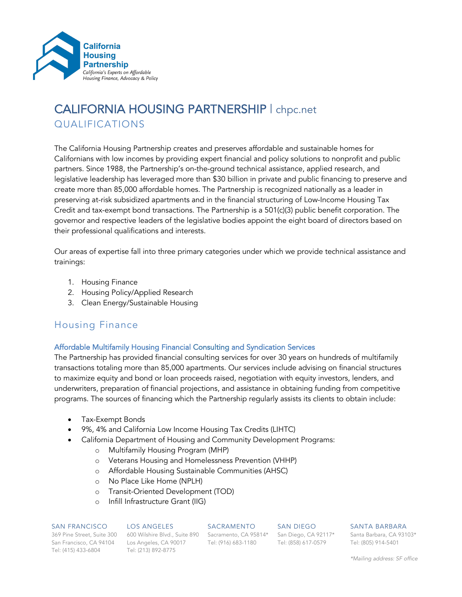

# CALIFORNIA HOUSING PARTNERSHIP | chpc.net QUALIFICATIONS

The California Housing Partnership creates and preserves affordable and sustainable homes for Californians with low incomes by providing expert financial and policy solutions to nonprofit and public partners. Since 1988, the Partnership's on-the-ground technical assistance, applied research, and legislative leadership has leveraged more than \$30 billion in private and public financing to preserve and create more than 85,000 affordable homes. The Partnership is recognized nationally as a leader in preserving at-risk subsidized apartments and in the financial structuring of Low-Income Housing Tax Credit and tax-exempt bond transactions. The Partnership is a 501(c)(3) public benefit corporation. The governor and respective leaders of the legislative bodies appoint the eight board of directors based on their professional qualifications and interests.

Our areas of expertise fall into three primary categories under which we provide technical assistance and trainings:

- 1. Housing Finance
- 2. Housing Policy/Applied Research
- 3. Clean Energy/Sustainable Housing

# Housing Finance

#### Affordable Multifamily Housing Financial Consulting and Syndication Services

The Partnership has provided financial consulting services for over 30 years on hundreds of multifamily transactions totaling more than 85,000 apartments. Our services include advising on financial structures to maximize equity and bond or loan proceeds raised, negotiation with equity investors, lenders, and underwriters, preparation of financial projections, and assistance in obtaining funding from competitive programs. The sources of financing which the Partnership regularly assists its clients to obtain include:

- Tax-Exempt Bonds
- 9%, 4% and California Low Income Housing Tax Credits (LIHTC)
- California Department of Housing and Community Development Programs:
	- o Multifamily Housing Program (MHP)
	- o Veterans Housing and Homelessness Prevention (VHHP)
	- o Affordable Housing Sustainable Communities (AHSC)
	- o No Place Like Home (NPLH)
	- o Transit-Oriented Development (TOD)
	- o Infill Infrastructure Grant (IIG)

#### SAN FRANCISCO

#### LOS ANGELES SACRAMENTO

Tel: (415) 433-6804

369 Pine Street, Suite 300 600 Wilshire Blvd., Suite 890 Sacramento, CA 95814\* San Diego, CA 92117\* San Francisco, CA 94104 Los Angeles, CA 90017 Tel: (916) 683-1180 Tel: (213) 892-8775

SAN DIEGO Tel: (858) 617-0579 SANTA BARBARA

Santa Barbara, CA 93103\* Tel: (805) 914-5401

*\*Mailing address: SF office*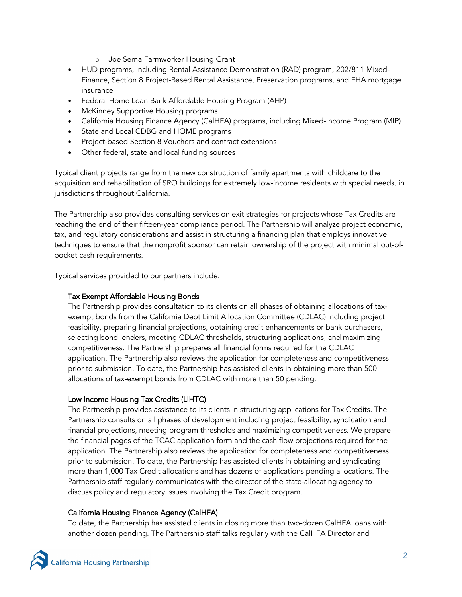- o Joe Serna Farmworker Housing Grant
- HUD programs, including Rental Assistance Demonstration (RAD) program, 202/811 Mixed-Finance, Section 8 Project-Based Rental Assistance, Preservation programs, and FHA mortgage insurance
- Federal Home Loan Bank Affordable Housing Program (AHP)
- McKinney Supportive Housing programs
- California Housing Finance Agency (CalHFA) programs, including Mixed-Income Program (MIP)
- State and Local CDBG and HOME programs
- Project-based Section 8 Vouchers and contract extensions
- Other federal, state and local funding sources

Typical client projects range from the new construction of family apartments with childcare to the acquisition and rehabilitation of SRO buildings for extremely low-income residents with special needs, in jurisdictions throughout California.

The Partnership also provides consulting services on exit strategies for projects whose Tax Credits are reaching the end of their fifteen-year compliance period. The Partnership will analyze project economic, tax, and regulatory considerations and assist in structuring a financing plan that employs innovative techniques to ensure that the nonprofit sponsor can retain ownership of the project with minimal out-ofpocket cash requirements.

Typical services provided to our partners include:

### Tax Exempt Affordable Housing Bonds

The Partnership provides consultation to its clients on all phases of obtaining allocations of taxexempt bonds from the California Debt Limit Allocation Committee (CDLAC) including project feasibility, preparing financial projections, obtaining credit enhancements or bank purchasers, selecting bond lenders, meeting CDLAC thresholds, structuring applications, and maximizing competitiveness. The Partnership prepares all financial forms required for the CDLAC application. The Partnership also reviews the application for completeness and competitiveness prior to submission. To date, the Partnership has assisted clients in obtaining more than 500 allocations of tax-exempt bonds from CDLAC with more than 50 pending.

#### Low Income Housing Tax Credits (LIHTC)

The Partnership provides assistance to its clients in structuring applications for Tax Credits. The Partnership consults on all phases of development including project feasibility, syndication and financial projections, meeting program thresholds and maximizing competitiveness. We prepare the financial pages of the TCAC application form and the cash flow projections required for the application. The Partnership also reviews the application for completeness and competitiveness prior to submission. To date, the Partnership has assisted clients in obtaining and syndicating more than 1,000 Tax Credit allocations and has dozens of applications pending allocations. The Partnership staff regularly communicates with the director of the state-allocating agency to discuss policy and regulatory issues involving the Tax Credit program.

#### California Housing Finance Agency (CalHFA)

To date, the Partnership has assisted clients in closing more than two-dozen CalHFA loans with another dozen pending. The Partnership staff talks regularly with the CalHFA Director and

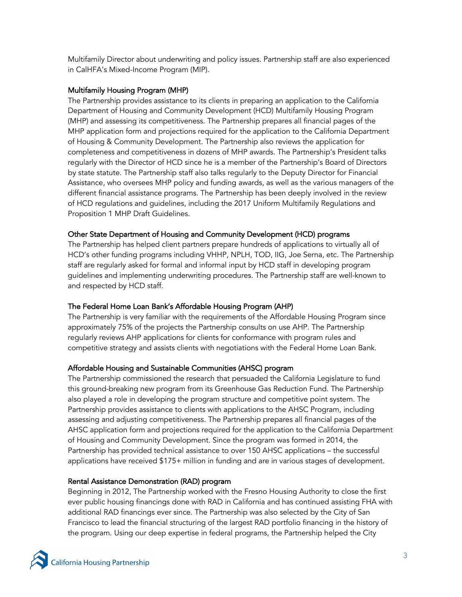Multifamily Director about underwriting and policy issues. Partnership staff are also experienced in CalHFA's Mixed-Income Program (MIP).

# Multifamily Housing Program (MHP)

The Partnership provides assistance to its clients in preparing an application to the California Department of Housing and Community Development (HCD) Multifamily Housing Program (MHP) and assessing its competitiveness. The Partnership prepares all financial pages of the MHP application form and projections required for the application to the California Department of Housing & Community Development. The Partnership also reviews the application for completeness and competitiveness in dozens of MHP awards. The Partnership's President talks regularly with the Director of HCD since he is a member of the Partnership's Board of Directors by state statute. The Partnership staff also talks regularly to the Deputy Director for Financial Assistance, who oversees MHP policy and funding awards, as well as the various managers of the different financial assistance programs. The Partnership has been deeply involved in the review of HCD regulations and guidelines, including the 2017 Uniform Multifamily Regulations and Proposition 1 MHP Draft Guidelines.

### Other State Department of Housing and Community Development (HCD) programs

The Partnership has helped client partners prepare hundreds of applications to virtually all of HCD's other funding programs including VHHP, NPLH, TOD, IIG, Joe Serna, etc. The Partnership staff are regularly asked for formal and informal input by HCD staff in developing program guidelines and implementing underwriting procedures. The Partnership staff are well-known to and respected by HCD staff.

# The Federal Home Loan Bank's Affordable Housing Program (AHP)

The Partnership is very familiar with the requirements of the Affordable Housing Program since approximately 75% of the projects the Partnership consults on use AHP. The Partnership regularly reviews AHP applications for clients for conformance with program rules and competitive strategy and assists clients with negotiations with the Federal Home Loan Bank.

#### Affordable Housing and Sustainable Communities (AHSC) program

The Partnership commissioned the research that persuaded the California Legislature to fund this ground-breaking new program from its Greenhouse Gas Reduction Fund. The Partnership also played a role in developing the program structure and competitive point system. The Partnership provides assistance to clients with applications to the AHSC Program, including assessing and adjusting competitiveness. The Partnership prepares all financial pages of the AHSC application form and projections required for the application to the California Department of Housing and Community Development. Since the program was formed in 2014, the Partnership has provided technical assistance to over 150 AHSC applications – the successful applications have received \$175+ million in funding and are in various stages of development.

# Rental Assistance Demonstration (RAD) program

Beginning in 2012, The Partnership worked with the Fresno Housing Authority to close the first ever public housing financings done with RAD in California and has continued assisting FHA with additional RAD financings ever since. The Partnership was also selected by the City of San Francisco to lead the financial structuring of the largest RAD portfolio financing in the history of the program. Using our deep expertise in federal programs, the Partnership helped the City

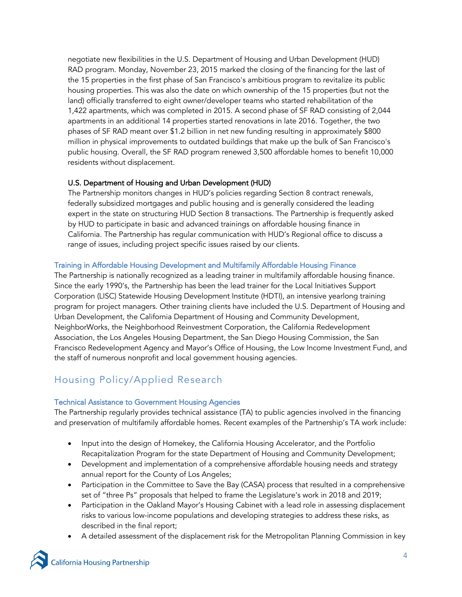negotiate new flexibilities in the U.S. Department of Housing and Urban Development (HUD) RAD program. Monday, November 23, 2015 marked the closing of the financing for the last of the 15 properties in the first phase of San Francisco's ambitious program to revitalize its public housing properties. This was also the date on which ownership of the 15 properties (but not the land) officially transferred to eight owner/developer teams who started rehabilitation of the 1,422 apartments, which was completed in 2015. A second phase of SF RAD consisting of 2,044 apartments in an additional 14 properties started renovations in late 2016. Together, the two phases of SF RAD meant over \$1.2 billion in net new funding resulting in approximately \$800 million in physical improvements to outdated buildings that make up the bulk of San Francisco's public housing. Overall, the SF RAD program renewed 3,500 affordable homes to benefit 10,000 residents without displacement.

# U.S. Department of Housing and Urban Development (HUD)

The Partnership monitors changes in HUD's policies regarding Section 8 contract renewals, federally subsidized mortgages and public housing and is generally considered the leading expert in the state on structuring HUD Section 8 transactions. The Partnership is frequently asked by HUD to participate in basic and advanced trainings on affordable housing finance in California. The Partnership has regular communication with HUD's Regional office to discuss a range of issues, including project specific issues raised by our clients.

# Training in Affordable Housing Development and Multifamily Affordable Housing Finance

The Partnership is nationally recognized as a leading trainer in multifamily affordable housing finance. Since the early 1990's, the Partnership has been the lead trainer for the Local Initiatives Support Corporation (LISC) Statewide Housing Development Institute (HDTI), an intensive yearlong training program for project managers. Other training clients have included the U.S. Department of Housing and Urban Development, the California Department of Housing and Community Development, NeighborWorks, the Neighborhood Reinvestment Corporation, the California Redevelopment Association, the Los Angeles Housing Department, the San Diego Housing Commission, the San Francisco Redevelopment Agency and Mayor's Office of Housing, the Low Income Investment Fund, and the staff of numerous nonprofit and local government housing agencies.

# Housing Policy/Applied Research

# Technical Assistance to Government Housing Agencies

The Partnership regularly provides technical assistance (TA) to public agencies involved in the financing and preservation of multifamily affordable homes. Recent examples of the Partnership's TA work include:

- Input into the design of Homekey, the California Housing Accelerator, and the Portfolio Recapitalization Program for the state Department of Housing and Community Development;
- Development and implementation of a comprehensive affordable housing needs and strategy annual report for the County of Los Angeles;
- Participation in the Committee to Save the Bay (CASA) process that resulted in a comprehensive set of "three Ps" proposals that helped to frame the Legislature's work in 2018 and 2019;
- Participation in the Oakland Mayor's Housing Cabinet with a lead role in assessing displacement risks to various low-income populations and developing strategies to address these risks, as described in the final report;
- A detailed assessment of the displacement risk for the Metropolitan Planning Commission in key

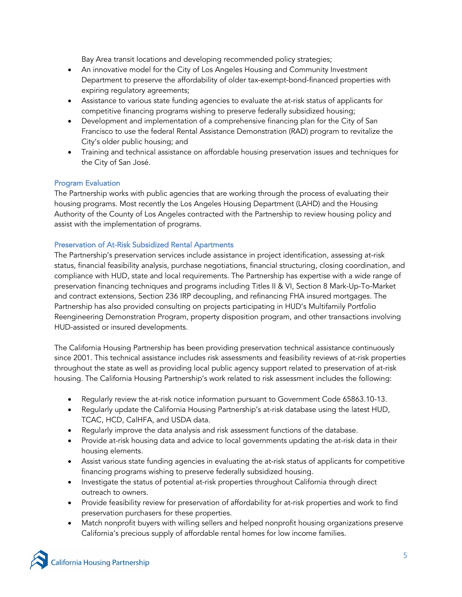Bay Area transit locations and developing recommended policy strategies;

- An innovative model for the City of Los Angeles Housing and Community Investment Department to preserve the affordability of older tax-exempt-bond-financed properties with expiring regulatory agreements;
- Assistance to various state funding agencies to evaluate the at-risk status of applicants for competitive financing programs wishing to preserve federally subsidized housing;
- Development and implementation of a comprehensive financing plan for the City of San Francisco to use the federal Rental Assistance Demonstration (RAD) program to revitalize the City's older public housing; and
- Training and technical assistance on affordable housing preservation issues and techniques for the City of San José.

# Program Evaluation

The Partnership works with public agencies that are working through the process of evaluating their housing programs. Most recently the Los Angeles Housing Department (LAHD) and the Housing Authority of the County of Los Angeles contracted with the Partnership to review housing policy and assist with the implementation of programs.

# Preservation of At-Risk Subsidized Rental Apartments

The Partnership's preservation services include assistance in project identification, assessing at-risk status, financial feasibility analysis, purchase negotiations, financial structuring, closing coordination, and compliance with HUD, state and local requirements. The Partnership has expertise with a wide range of preservation financing techniques and programs including Titles II & VI, Section 8 Mark-Up-To-Market and contract extensions, Section 236 IRP decoupling, and refinancing FHA insured mortgages. The Partnership has also provided consulting on projects participating in HUD's Multifamily Portfolio Reengineering Demonstration Program, property disposition program, and other transactions involving HUD-assisted or insured developments.

The California Housing Partnership has been providing preservation technical assistance continuously since 2001. This technical assistance includes risk assessments and feasibility reviews of at-risk properties throughout the state as well as providing local public agency support related to preservation of at-risk housing. The California Housing Partnership's work related to risk assessment includes the following:

- Regularly review the at-risk notice information pursuant to Government Code 65863.10-13.
- Regularly update the California Housing Partnership's at-risk database using the latest HUD, TCAC, HCD, CalHFA, and USDA data.
- Regularly improve the data analysis and risk assessment functions of the database.
- Provide at-risk housing data and advice to local governments updating the at-risk data in their housing elements.
- Assist various state funding agencies in evaluating the at-risk status of applicants for competitive financing programs wishing to preserve federally subsidized housing.
- Investigate the status of potential at-risk properties throughout California through direct outreach to owners.
- Provide feasibility review for preservation of affordability for at-risk properties and work to find preservation purchasers for these properties.
- Match nonprofit buyers with willing sellers and helped nonprofit housing organizations preserve California's precious supply of affordable rental homes for low income families.

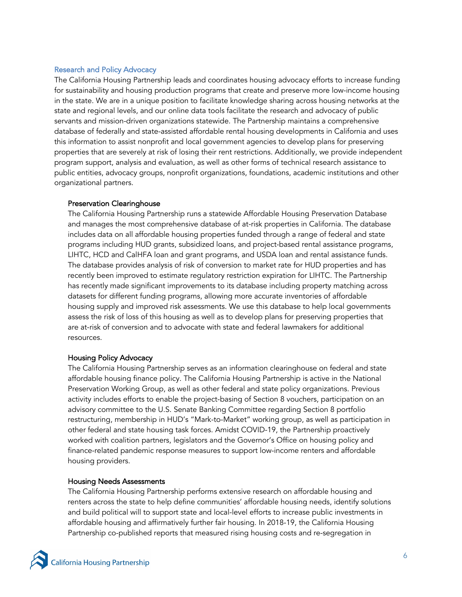#### Research and Policy Advocacy

The California Housing Partnership leads and coordinates housing advocacy efforts to increase funding for sustainability and housing production programs that create and preserve more low-income housing in the state. We are in a unique position to facilitate knowledge sharing across housing networks at the state and regional levels, and our online data tools facilitate the research and advocacy of public servants and mission-driven organizations statewide. The Partnership maintains a comprehensive database of federally and state-assisted affordable rental housing developments in California and uses this information to assist nonprofit and local government agencies to develop plans for preserving properties that are severely at risk of losing their rent restrictions. Additionally, we provide independent program support, analysis and evaluation, as well as other forms of technical research assistance to public entities, advocacy groups, nonprofit organizations, foundations, academic institutions and other organizational partners.

#### Preservation Clearinghouse

The California Housing Partnership runs a statewide Affordable Housing Preservation Database and manages the most comprehensive database of at-risk properties in California. The database includes data on all affordable housing properties funded through a range of federal and state programs including HUD grants, subsidized loans, and project-based rental assistance programs, LIHTC, HCD and CalHFA loan and grant programs, and USDA loan and rental assistance funds. The database provides analysis of risk of conversion to market rate for HUD properties and has recently been improved to estimate regulatory restriction expiration for LIHTC. The Partnership has recently made significant improvements to its database including property matching across datasets for different funding programs, allowing more accurate inventories of affordable housing supply and improved risk assessments. We use this database to help local governments assess the risk of loss of this housing as well as to develop plans for preserving properties that are at-risk of conversion and to advocate with state and federal lawmakers for additional resources.

#### Housing Policy Advocacy

The California Housing Partnership serves as an information clearinghouse on federal and state affordable housing finance policy. The California Housing Partnership is active in the National Preservation Working Group, as well as other federal and state policy organizations. Previous activity includes efforts to enable the project-basing of Section 8 vouchers, participation on an advisory committee to the U.S. Senate Banking Committee regarding Section 8 portfolio restructuring, membership in HUD's "Mark-to-Market" working group, as well as participation in other federal and state housing task forces. Amidst COVID-19, the Partnership proactively worked with coalition partners, legislators and the Governor's Office on housing policy and finance-related pandemic response measures to support low-income renters and affordable housing providers.

#### Housing Needs Assessments

The California Housing Partnership performs extensive research on affordable housing and renters across the state to help define communities' affordable housing needs, identify solutions and build political will to support state and local-level efforts to increase public investments in affordable housing and affirmatively further fair housing. In 2018-19, the California Housing Partnership co-published reports that measured rising housing costs and re-segregation in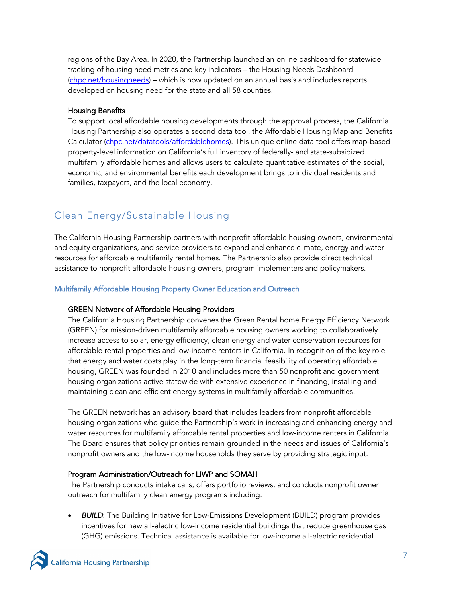regions of the Bay Area. In 2020, the Partnership launched an online dashboard for statewide tracking of housing need metrics and key indicators – the Housing Needs Dashboard (chpc.net/housingneeds) – which is now updated on an annual basis and includes reports developed on housing need for the state and all 58 counties.

# Housing Benefits

To support local affordable housing developments through the approval process, the California Housing Partnership also operates a second data tool, the Affordable Housing Map and Benefits Calculator (chpc.net/datatools/affordablehomes). This unique online data tool offers map-based property-level information on California's full inventory of federally- and state-subsidized multifamily affordable homes and allows users to calculate quantitative estimates of the social, economic, and environmental benefits each development brings to individual residents and families, taxpayers, and the local economy.

# Clean Energy/Sustainable Housing

The California Housing Partnership partners with nonprofit affordable housing owners, environmental and equity organizations, and service providers to expand and enhance climate, energy and water resources for affordable multifamily rental homes. The Partnership also provide direct technical assistance to nonprofit affordable housing owners, program implementers and policymakers.

### Multifamily Affordable Housing Property Owner Education and Outreach

#### GREEN Network of Affordable Housing Providers

The California Housing Partnership convenes the Green Rental home Energy Efficiency Network (GREEN) for mission-driven multifamily affordable housing owners working to collaboratively increase access to solar, energy efficiency, clean energy and water conservation resources for affordable rental properties and low-income renters in California. In recognition of the key role that energy and water costs play in the long-term financial feasibility of operating affordable housing, GREEN was founded in 2010 and includes more than 50 nonprofit and government housing organizations active statewide with extensive experience in financing, installing and maintaining clean and efficient energy systems in multifamily affordable communities.

The GREEN network has an advisory board that includes leaders from nonprofit affordable housing organizations who guide the Partnership's work in increasing and enhancing energy and water resources for multifamily affordable rental properties and low-income renters in California. The Board ensures that policy priorities remain grounded in the needs and issues of California's nonprofit owners and the low-income households they serve by providing strategic input.

#### Program Administration/Outreach for LIWP and SOMAH

The Partnership conducts intake calls, offers portfolio reviews, and conducts nonprofit owner outreach for multifamily clean energy programs including:

**BUILD:** The Building Initiative for Low-Emissions Development (BUILD) program provides incentives for new all-electric low-income residential buildings that reduce greenhouse gas (GHG) emissions. Technical assistance is available for low-income all-electric residential

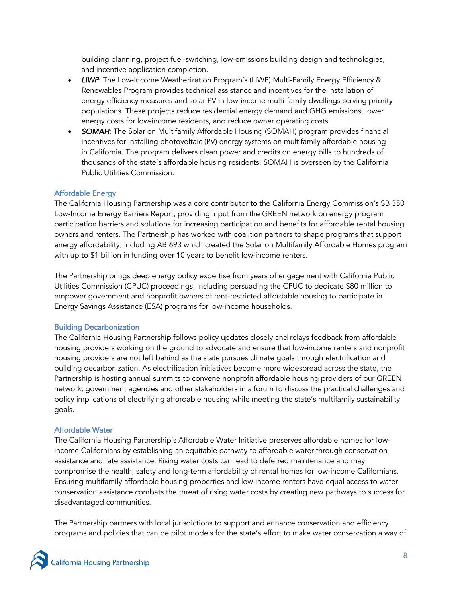building planning, project fuel-switching, low-emissions building design and technologies, and incentive application completion.

- *LIWP*: The Low-Income Weatherization Program's (LIWP) Multi-Family Energy Efficiency & Renewables Program provides technical assistance and incentives for the installation of energy efficiency measures and solar PV in low-income multi-family dwellings serving priority populations. These projects reduce residential energy demand and GHG emissions, lower energy costs for low-income residents, and reduce owner operating costs.
- *SOMAH*: The Solar on Multifamily Affordable Housing (SOMAH) program provides financial incentives for installing photovoltaic (PV) energy systems on multifamily affordable housing in California. The program delivers clean power and credits on energy bills to hundreds of thousands of the state's affordable housing residents. SOMAH is overseen by the California Public Utilities Commission.

# Affordable Energy

The California Housing Partnership was a core contributor to the California Energy Commission's SB 350 Low-Income Energy Barriers Report, providing input from the GREEN network on energy program participation barriers and solutions for increasing participation and benefits for affordable rental housing owners and renters. The Partnership has worked with coalition partners to shape programs that support energy affordability, including AB 693 which created the Solar on Multifamily Affordable Homes program with up to \$1 billion in funding over 10 years to benefit low-income renters.

The Partnership brings deep energy policy expertise from years of engagement with California Public Utilities Commission (CPUC) proceedings, including persuading the CPUC to dedicate \$80 million to empower government and nonprofit owners of rent-restricted affordable housing to participate in Energy Savings Assistance (ESA) programs for low-income households.

# Building Decarbonization

The California Housing Partnership follows policy updates closely and relays feedback from affordable housing providers working on the ground to advocate and ensure that low-income renters and nonprofit housing providers are not left behind as the state pursues climate goals through electrification and building decarbonization. As electrification initiatives become more widespread across the state, the Partnership is hosting annual summits to convene nonprofit affordable housing providers of our GREEN network, government agencies and other stakeholders in a forum to discuss the practical challenges and policy implications of electrifying affordable housing while meeting the state's multifamily sustainability goals.

# Affordable Water

The California Housing Partnership's Affordable Water Initiative preserves affordable homes for lowincome Californians by establishing an equitable pathway to affordable water through conservation assistance and rate assistance. Rising water costs can lead to deferred maintenance and may compromise the health, safety and long-term affordability of rental homes for low-income Californians. Ensuring multifamily affordable housing properties and low-income renters have equal access to water conservation assistance combats the threat of rising water costs by creating new pathways to success for disadvantaged communities.

The Partnership partners with local jurisdictions to support and enhance conservation and efficiency programs and policies that can be pilot models for the state's effort to make water conservation a way of